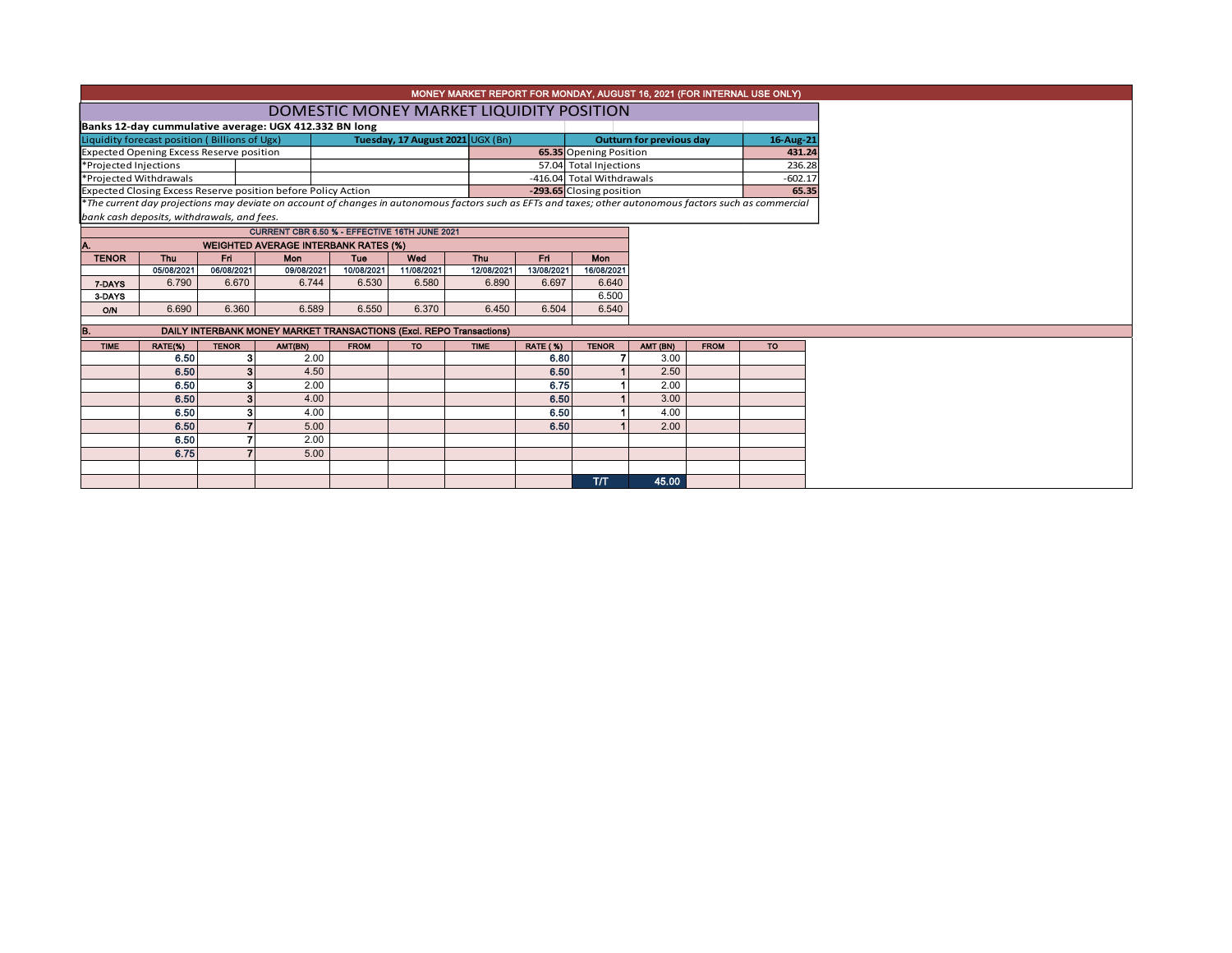|                                                               |                                               |              |                                                                     |             |                                  | MONEY MARKET REPORT FOR MONDAY, AUGUST 16, 2021 (FOR INTERNAL USE ONLY) |                 |                                 |          |             |                                                                                                                                                          |
|---------------------------------------------------------------|-----------------------------------------------|--------------|---------------------------------------------------------------------|-------------|----------------------------------|-------------------------------------------------------------------------|-----------------|---------------------------------|----------|-------------|----------------------------------------------------------------------------------------------------------------------------------------------------------|
|                                                               |                                               |              |                                                                     |             |                                  | DOMESTIC MONEY MARKET LIQUIDITY POSITION                                |                 |                                 |          |             |                                                                                                                                                          |
|                                                               |                                               |              | Banks 12-day cummulative average: UGX 412.332 BN long               |             |                                  |                                                                         |                 |                                 |          |             |                                                                                                                                                          |
|                                                               | Liquidity forecast position (Billions of Ugx) |              |                                                                     |             | Tuesday, 17 August 2021 UGX (Bn) |                                                                         |                 | <b>Outturn for previous day</b> |          | 16-Aug-21   |                                                                                                                                                          |
| <b>Expected Opening Excess Reserve position</b>               |                                               |              |                                                                     |             |                                  |                                                                         |                 | <b>65.35</b> Opening Position   |          |             | 431.24                                                                                                                                                   |
| *Projected Injections                                         |                                               |              |                                                                     |             |                                  |                                                                         |                 | 57.04 Total Injections          |          |             | 236.28                                                                                                                                                   |
| *Projected Withdrawals                                        |                                               |              |                                                                     |             |                                  |                                                                         |                 | -416.04 Total Withdrawals       |          |             | $-602.17$                                                                                                                                                |
| Expected Closing Excess Reserve position before Policy Action |                                               |              |                                                                     |             |                                  | -293.65 Closing position                                                |                 |                                 |          | 65.35       |                                                                                                                                                          |
|                                                               |                                               |              |                                                                     |             |                                  |                                                                         |                 |                                 |          |             | *The current day projections may deviate on account of changes in autonomous factors such as EFTs and taxes; other autonomous factors such as commercial |
|                                                               | bank cash deposits, withdrawals, and fees.    |              |                                                                     |             |                                  |                                                                         |                 |                                 |          |             |                                                                                                                                                          |
|                                                               |                                               |              | CURRENT CBR 6.50 % - EFFECTIVE 16TH JUNE 2021                       |             |                                  |                                                                         |                 |                                 |          |             |                                                                                                                                                          |
|                                                               |                                               |              | <b>WEIGHTED AVERAGE INTERBANK RATES (%)</b>                         |             |                                  |                                                                         |                 |                                 |          |             |                                                                                                                                                          |
| <b>TENOR</b>                                                  | Thu                                           | Fri          | Mon                                                                 | <b>Tue</b>  | Wed                              | Thu                                                                     | Fri             | Mon                             |          |             |                                                                                                                                                          |
|                                                               | 05/08/2021                                    | 06/08/2021   | 09/08/2021                                                          | 10/08/2021  | 11/08/2021                       | 12/08/2021                                                              | 13/08/2021      | 16/08/2021                      |          |             |                                                                                                                                                          |
| 7-DAYS                                                        | 6.790                                         | 6.670        | 6.744                                                               | 6.530       | 6.580                            | 6.890                                                                   | 6.697           | 6.640                           |          |             |                                                                                                                                                          |
| 3-DAYS                                                        |                                               |              |                                                                     |             |                                  |                                                                         |                 | 6.500                           |          |             |                                                                                                                                                          |
| <b>O/N</b>                                                    | 6.690                                         | 6.360        | 6.589                                                               | 6.550       | 6.370                            | 6.450                                                                   | 6.504           | 6.540                           |          |             |                                                                                                                                                          |
| IB.                                                           |                                               |              | DAILY INTERBANK MONEY MARKET TRANSACTIONS (Excl. REPO Transactions) |             |                                  |                                                                         |                 |                                 |          |             |                                                                                                                                                          |
| <b>TIME</b>                                                   | RATE(%)                                       | <b>TENOR</b> | AMT(BN)                                                             | <b>FROM</b> | <b>TO</b>                        | <b>TIME</b>                                                             | <b>RATE (%)</b> | <b>TENOR</b>                    | AMT (BN) | <b>FROM</b> | <b>TO</b>                                                                                                                                                |
|                                                               | 6.50                                          |              | 2.00                                                                |             |                                  |                                                                         | 6.80            |                                 | 3.00     |             |                                                                                                                                                          |
|                                                               | 6.50                                          | 3            | 4.50                                                                |             |                                  |                                                                         | 6.50            |                                 | 2.50     |             |                                                                                                                                                          |
|                                                               | 6.50                                          | 3            | 2.00                                                                |             |                                  |                                                                         | 6.75            |                                 | 2.00     |             |                                                                                                                                                          |
|                                                               | 6.50                                          | 3            | 4.00                                                                |             |                                  |                                                                         | 6.50            |                                 | 3.00     |             |                                                                                                                                                          |
|                                                               | 6.50                                          | 3            | 4.00                                                                |             |                                  |                                                                         | 6.50            |                                 | 4.00     |             |                                                                                                                                                          |
|                                                               | 6.50                                          |              | 5.00                                                                |             |                                  |                                                                         | 6.50            |                                 | 2.00     |             |                                                                                                                                                          |
|                                                               | 6.50                                          |              | 2.00                                                                |             |                                  |                                                                         |                 |                                 |          |             |                                                                                                                                                          |
|                                                               | 6.75                                          |              | 5.00                                                                |             |                                  |                                                                         |                 |                                 |          |             |                                                                                                                                                          |
|                                                               |                                               |              |                                                                     |             |                                  |                                                                         |                 |                                 |          |             |                                                                                                                                                          |
|                                                               |                                               |              |                                                                     |             |                                  |                                                                         |                 | <b>T/T</b>                      | 45.00    |             |                                                                                                                                                          |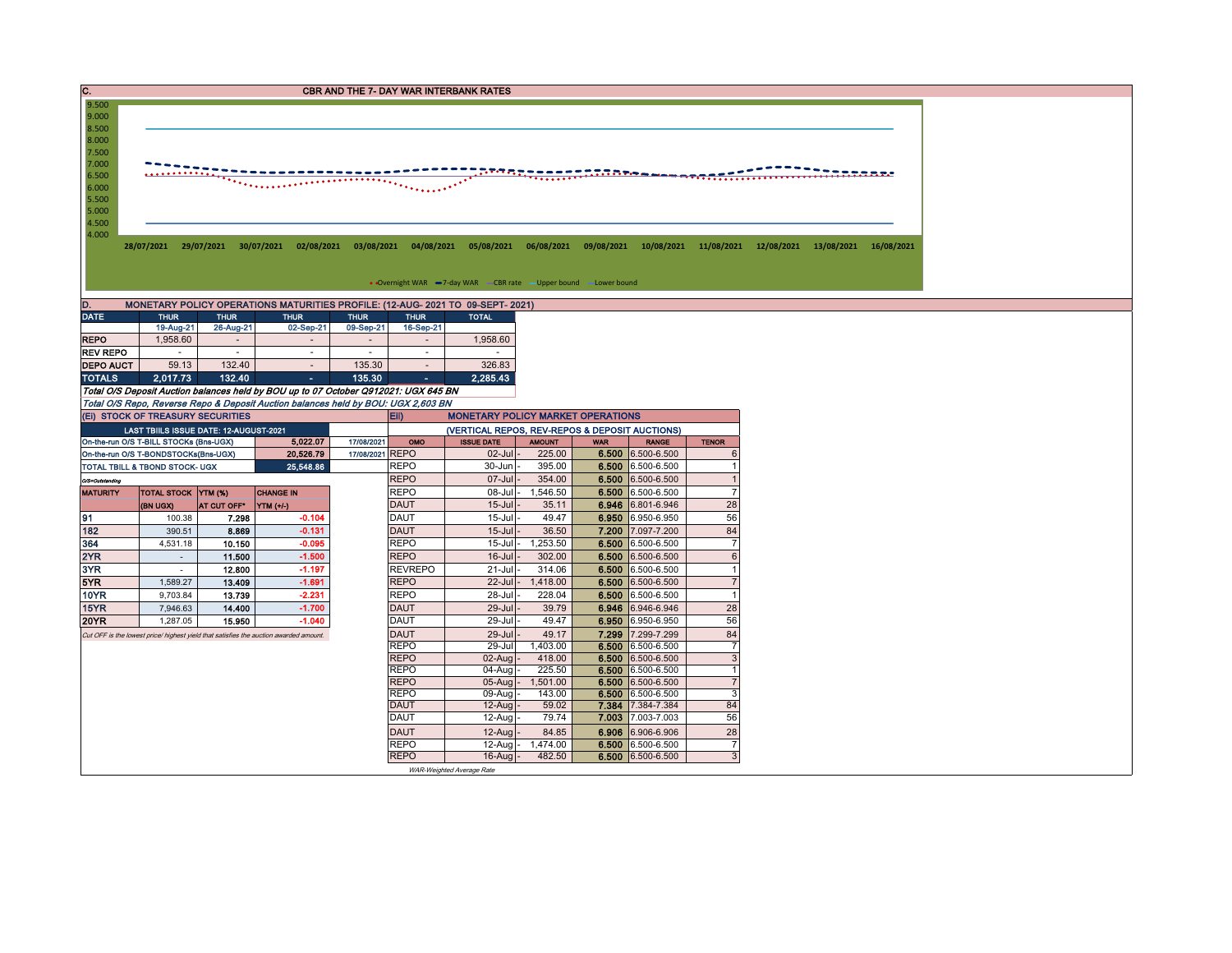| C.                                 |                                                                                                                                                           |                         |                                                                                       |                                       |                                       | <b>CBR AND THE 7- DAY WAR INTERBANK RATES</b>                                  |                    |            |                                        |                                  |  |  |  |
|------------------------------------|-----------------------------------------------------------------------------------------------------------------------------------------------------------|-------------------------|---------------------------------------------------------------------------------------|---------------------------------------|---------------------------------------|--------------------------------------------------------------------------------|--------------------|------------|----------------------------------------|----------------------------------|--|--|--|
| 9.500<br>9.000<br>8.500            |                                                                                                                                                           |                         |                                                                                       |                                       |                                       |                                                                                |                    |            |                                        |                                  |  |  |  |
| 8.000<br>7.500<br>7.000            |                                                                                                                                                           |                         |                                                                                       |                                       |                                       |                                                                                |                    |            |                                        |                                  |  |  |  |
| 6.500                              |                                                                                                                                                           |                         |                                                                                       |                                       |                                       |                                                                                | <u>ntgeneer</u>    |            |                                        |                                  |  |  |  |
| 6.000<br>5.500                     |                                                                                                                                                           |                         |                                                                                       |                                       |                                       |                                                                                |                    |            |                                        |                                  |  |  |  |
| 5.000                              |                                                                                                                                                           |                         |                                                                                       |                                       |                                       |                                                                                |                    |            |                                        |                                  |  |  |  |
| 4.500<br>4.000                     | 28/07/2021 29/07/2021 30/07/2021 02/08/2021 03/08/2021 04/08/2021 05/08/2021 06/08/2021 09/08/2021 10/08/2021 11/08/2021 12/08/2021 13/08/2021 16/08/2021 |                         |                                                                                       |                                       |                                       |                                                                                |                    |            |                                        |                                  |  |  |  |
|                                    |                                                                                                                                                           |                         |                                                                                       |                                       |                                       |                                                                                |                    |            |                                        |                                  |  |  |  |
|                                    |                                                                                                                                                           |                         |                                                                                       |                                       |                                       |                                                                                |                    |            |                                        |                                  |  |  |  |
|                                    |                                                                                                                                                           |                         |                                                                                       |                                       |                                       | • Overnight WAR -7-day WAR - CBR rate - Upper bound - Lower bound              |                    |            |                                        |                                  |  |  |  |
| D.                                 |                                                                                                                                                           |                         |                                                                                       |                                       |                                       | MONETARY POLICY OPERATIONS MATURITIES PROFILE: (12-AUG- 2021 TO 09-SEPT- 2021) |                    |            |                                        |                                  |  |  |  |
| <b>DATE</b>                        | <b>THUR</b>                                                                                                                                               | <b>THUR</b>             | <b>THUR</b>                                                                           | <b>THUR</b>                           | <b>THUR</b>                           | <b>TOTAL</b>                                                                   |                    |            |                                        |                                  |  |  |  |
| <b>REPO</b>                        | 19-Aug-21<br>1,958.60                                                                                                                                     | 26-Aug-21<br>$\sim$     | 02-Sep-21                                                                             | 09-Sep-21<br>$\overline{\phantom{a}}$ | 16-Sep-21<br>$\overline{\phantom{a}}$ | 1,958.60                                                                       |                    |            |                                        |                                  |  |  |  |
| <b>REV REPO</b>                    | $\sim$                                                                                                                                                    | $\sim$                  | $\sim$                                                                                | $\sim$                                | $\sim$                                | $\sim$                                                                         |                    |            |                                        |                                  |  |  |  |
| <b>DEPO AUCT</b>                   | 59.13                                                                                                                                                     | 132.40                  |                                                                                       | 135.30                                |                                       | 326.83                                                                         |                    |            |                                        |                                  |  |  |  |
| <b>TOTALS</b>                      | 2,017.73                                                                                                                                                  | 132.40                  | $\sim$                                                                                | 135.30                                |                                       | 2,285.43                                                                       |                    |            |                                        |                                  |  |  |  |
|                                    |                                                                                                                                                           |                         | Total O/S Deposit Auction balances held by BOU up to 07 October Q912021: UGX 645 BN   |                                       |                                       |                                                                                |                    |            |                                        |                                  |  |  |  |
|                                    | (EI) STOCK OF TREASURY SECURITIES                                                                                                                         |                         | Total O/S Repo, Reverse Repo & Deposit Auction balances held by BOU: UGX 2,603 BN     |                                       | Eii)                                  | <b>MONETARY POLICY MARKET OPERATIONS</b>                                       |                    |            |                                        |                                  |  |  |  |
|                                    | LAST TBIILS ISSUE DATE: 12-AUGUST-2021                                                                                                                    |                         |                                                                                       |                                       |                                       | (VERTICAL REPOS, REV-REPOS & DEPOSIT AUCTIONS)                                 |                    |            |                                        |                                  |  |  |  |
|                                    | On-the-run O/S T-BILL STOCKs (Bns-UGX)                                                                                                                    |                         | 5.022.07                                                                              | 17/08/2021                            | OMO                                   | <b>ISSUE DATE</b>                                                              | <b>AMOUNT</b>      | <b>WAR</b> | <b>RANGE</b>                           | <b>TENOR</b>                     |  |  |  |
|                                    | On-the-run O/S T-BONDSTOCKs(Bns-UGX)                                                                                                                      |                         | 20.526.79                                                                             | 17/08/2021 REPO                       |                                       | $02$ -Jul                                                                      | 225.00             |            | 6.500 6.500-6.500                      | 6                                |  |  |  |
|                                    | TOTAL TBILL & TBOND STOCK- UGX                                                                                                                            |                         | 25,548.86                                                                             |                                       | <b>REPO</b><br><b>REPO</b>            | 30-Jun<br>07-Jul                                                               | 395.00<br>354.00   |            | 6.500 6.500-6.500<br>6.500 6.500-6.500 | 1<br>$\overline{1}$              |  |  |  |
| O/S=Outstanding<br><b>MATURITY</b> | TOTAL STOCK YTM (%)                                                                                                                                       |                         | <b>CHANGE IN</b>                                                                      |                                       | <b>REPO</b>                           | 08-Jul                                                                         | 1,546.50           |            | 6.500 6.500-6.500                      | $\overline{7}$                   |  |  |  |
|                                    | (BN UGX)                                                                                                                                                  | AT CUT OFF <sup>®</sup> | YTM (+/-)                                                                             |                                       | <b>DAUT</b>                           | $15 -$ Jul                                                                     | 35.11              |            | 6.946 6.801-6.946                      | 28                               |  |  |  |
| 191                                | 100.38                                                                                                                                                    | 7.298                   | $-0.104$                                                                              |                                       | DAUT                                  | 15-Jul                                                                         | 49.47              |            | 6.950 6.950-6.950                      | 56                               |  |  |  |
| 182                                | 390.51                                                                                                                                                    | 8.869                   | $-0.131$                                                                              |                                       | <b>DAUT</b>                           | $15 -$ Jul                                                                     | 36.50              |            | 7.200 7.097-7.200                      | 84                               |  |  |  |
| 364<br>2YR                         | 4,531.18<br>$\sim$                                                                                                                                        | 10.150<br>11.500        | $-0.095$<br>$-1.500$                                                                  |                                       | <b>REPO</b><br><b>REPO</b>            | 15-Jul<br>$16$ -Jul                                                            | 1,253.50<br>302.00 |            | 6.500 6.500-6.500<br>6.500 6.500-6.500 | $\overline{7}$<br>$6\phantom{.}$ |  |  |  |
| 3YR                                |                                                                                                                                                           | 12.800                  | $-1.197$                                                                              |                                       | <b>REVREPO</b>                        | 21-Jul                                                                         | 314.06             |            | 6.500 6.500-6.500                      | $\mathbf{1}$                     |  |  |  |
| 5YR                                | 1,589.27                                                                                                                                                  | 13.409                  | $-1.691$                                                                              |                                       | <b>REPO</b>                           | 22-Jul                                                                         | 1,418.00           |            | 6.500 6.500-6.500                      | $\overline{7}$                   |  |  |  |
| <b>10YR</b>                        | 9,703.84                                                                                                                                                  | 13.739                  | $-2.231$                                                                              |                                       | <b>REPO</b>                           | 28-Jul                                                                         | 228.04             |            | 6.500 6.500-6.500                      | $\overline{1}$                   |  |  |  |
| 15YR<br>20YR                       | 7,946.63                                                                                                                                                  | 14.400<br>15.950        | $-1.700$<br>$-1.040$                                                                  |                                       | <b>DAUT</b><br>DAUT                   | 29-Jul<br>29-Jul                                                               | 39.79<br>49.47     |            | 6.946 6.946-6.946<br>6.950 6.950-6.950 | 28<br>56                         |  |  |  |
|                                    | 1,287.05                                                                                                                                                  |                         | Cut OFF is the lowest price/ highest yield that satisfies the auction awarded amount. |                                       | <b>DAUT</b>                           | 29-Jul                                                                         | 49.17              |            | 7.299 7.299-7.299                      | 84                               |  |  |  |
|                                    |                                                                                                                                                           |                         |                                                                                       |                                       | <b>REPO</b>                           | 29-Jul                                                                         | 1,403.00           |            | 6.500 6.500-6.500                      | $\overline{7}$                   |  |  |  |
|                                    |                                                                                                                                                           |                         |                                                                                       |                                       | <b>REPO</b>                           | 02-Aug                                                                         | 418.00             |            | 6.500 6.500-6.500                      | 3                                |  |  |  |
|                                    |                                                                                                                                                           |                         |                                                                                       |                                       | <b>REPO</b><br><b>REPO</b>            | 04-Aug<br>$05-Auq$                                                             | 225.50<br>1,501.00 |            | 6.500 6.500-6.500<br>6.500 6.500-6.500 | $\overline{1}$<br>$\overline{7}$ |  |  |  |
|                                    |                                                                                                                                                           |                         |                                                                                       |                                       | <b>REPO</b>                           | 09-Aug                                                                         | 143.00             |            | 6.500 6.500-6.500                      | $\mathbf{3}$                     |  |  |  |
|                                    |                                                                                                                                                           |                         |                                                                                       |                                       | <b>DAUT</b>                           | 12-Aug                                                                         | 59.02              |            | 7.384 7.384-7.384                      | 84                               |  |  |  |
|                                    |                                                                                                                                                           |                         |                                                                                       |                                       | <b>DAUT</b>                           | 12-Aug                                                                         | 79.74              |            | 7.003 7.003-7.003                      | 56                               |  |  |  |
|                                    |                                                                                                                                                           |                         |                                                                                       |                                       | <b>DAUT</b><br><b>REPO</b>            | 12-Aug                                                                         | 84.85              |            | 6.906 6.906-6.906                      | 28<br>$\overline{7}$             |  |  |  |
|                                    |                                                                                                                                                           |                         |                                                                                       |                                       | <b>REPO</b>                           | $12-Auq$<br>$16$ -Aug                                                          | 1,474.00<br>482.50 |            | 6.500 6.500-6.500<br>6.500 6.500-6.500 | 3                                |  |  |  |
|                                    |                                                                                                                                                           |                         |                                                                                       |                                       |                                       |                                                                                |                    |            |                                        |                                  |  |  |  |